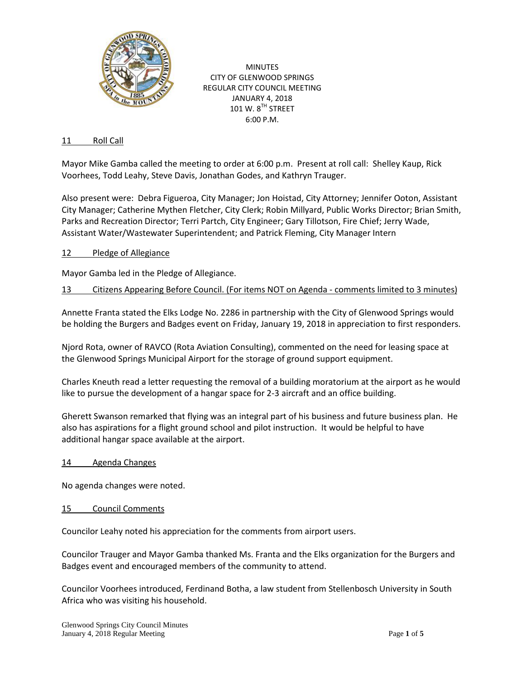

MINUTES CITY OF GLENWOOD SPRINGS REGULAR CITY COUNCIL MEETING JANUARY 4, 2018 101 W. 8<sup>TH</sup> STREET 6:00 P.M.

### 11 Roll Call

Mayor Mike Gamba called the meeting to order at 6:00 p.m. Present at roll call: Shelley Kaup, Rick Voorhees, Todd Leahy, Steve Davis, Jonathan Godes, and Kathryn Trauger.

Also present were: Debra Figueroa, City Manager; Jon Hoistad, City Attorney; Jennifer Ooton, Assistant City Manager; Catherine Mythen Fletcher, City Clerk; Robin Millyard, Public Works Director; Brian Smith, Parks and Recreation Director; Terri Partch, City Engineer; Gary Tillotson, Fire Chief; Jerry Wade, Assistant Water/Wastewater Superintendent; and Patrick Fleming, City Manager Intern

### 12 Pledge of Allegiance

Mayor Gamba led in the Pledge of Allegiance.

13 Citizens Appearing Before Council. (For items NOT on Agenda - comments limited to 3 minutes)

Annette Franta stated the Elks Lodge No. 2286 in partnership with the City of Glenwood Springs would be holding the Burgers and Badges event on Friday, January 19, 2018 in appreciation to first responders.

Njord Rota, owner of RAVCO (Rota Aviation Consulting), commented on the need for leasing space at the Glenwood Springs Municipal Airport for the storage of ground support equipment.

Charles Kneuth read a letter requesting the removal of a building moratorium at the airport as he would like to pursue the development of a hangar space for 2-3 aircraft and an office building.

Gherett Swanson remarked that flying was an integral part of his business and future business plan. He also has aspirations for a flight ground school and pilot instruction. It would be helpful to have additional hangar space available at the airport.

#### 14 Agenda Changes

No agenda changes were noted.

#### 15 Council Comments

Councilor Leahy noted his appreciation for the comments from airport users.

Councilor Trauger and Mayor Gamba thanked Ms. Franta and the Elks organization for the Burgers and Badges event and encouraged members of the community to attend.

Councilor Voorhees introduced, Ferdinand Botha, a law student from Stellenbosch University in South Africa who was visiting his household.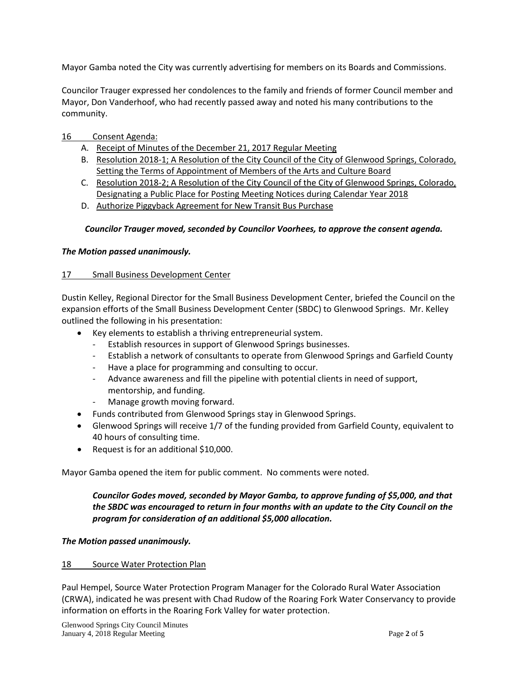Mayor Gamba noted the City was currently advertising for members on its Boards and Commissions.

Councilor Trauger expressed her condolences to the family and friends of former Council member and Mayor, Don Vanderhoof, who had recently passed away and noted his many contributions to the community.

- 16 Consent Agenda:
	- A. Receipt of Minutes of the December 21, 2017 Regular Meeting
	- B. Resolution 2018-1; A Resolution of the City Council of the City of Glenwood Springs, Colorado, Setting the Terms of Appointment of Members of the Arts and Culture Board
	- C. Resolution 2018-2; A Resolution of the City Council of the City of Glenwood Springs, Colorado, Designating a Public Place for Posting Meeting Notices during Calendar Year 2018
	- D. Authorize Piggyback Agreement for New Transit Bus Purchase

## *Councilor Trauger moved, seconded by Councilor Voorhees, to approve the consent agenda.*

## *The Motion passed unanimously.*

## 17 Small Business Development Center

Dustin Kelley, Regional Director for the Small Business Development Center, briefed the Council on the expansion efforts of the Small Business Development Center (SBDC) to Glenwood Springs. Mr. Kelley outlined the following in his presentation:

- Key elements to establish a thriving entrepreneurial system.
	- Establish resources in support of Glenwood Springs businesses.
	- Establish a network of consultants to operate from Glenwood Springs and Garfield County
	- Have a place for programming and consulting to occur.
	- Advance awareness and fill the pipeline with potential clients in need of support, mentorship, and funding.
	- Manage growth moving forward.
- Funds contributed from Glenwood Springs stay in Glenwood Springs.
- Glenwood Springs will receive 1/7 of the funding provided from Garfield County, equivalent to 40 hours of consulting time.
- Request is for an additional \$10,000.

Mayor Gamba opened the item for public comment. No comments were noted.

# *Councilor Godes moved, seconded by Mayor Gamba, to approve funding of \$5,000, and that the SBDC was encouraged to return in four months with an update to the City Council on the program for consideration of an additional \$5,000 allocation.*

## *The Motion passed unanimously.*

#### 18 Source Water Protection Plan

Paul Hempel, Source Water Protection Program Manager for the Colorado Rural Water Association (CRWA), indicated he was present with Chad Rudow of the Roaring Fork Water Conservancy to provide information on efforts in the Roaring Fork Valley for water protection.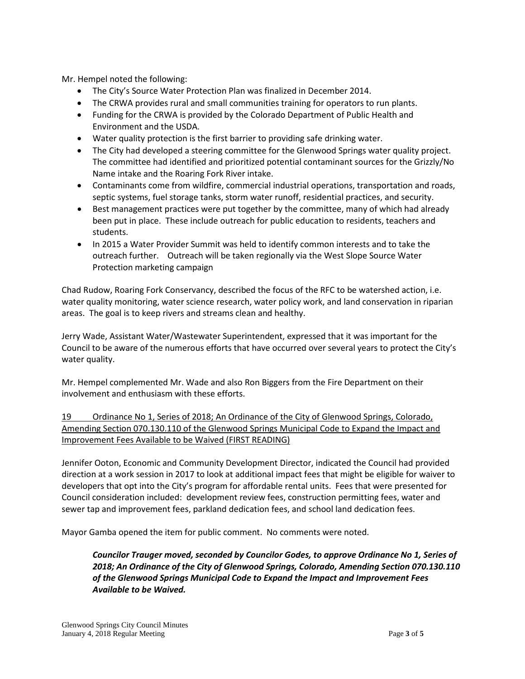Mr. Hempel noted the following:

- The City's Source Water Protection Plan was finalized in December 2014.
- The CRWA provides rural and small communities training for operators to run plants.
- Funding for the CRWA is provided by the Colorado Department of Public Health and Environment and the USDA.
- Water quality protection is the first barrier to providing safe drinking water.
- The City had developed a steering committee for the Glenwood Springs water quality project. The committee had identified and prioritized potential contaminant sources for the Grizzly/No Name intake and the Roaring Fork River intake.
- Contaminants come from wildfire, commercial industrial operations, transportation and roads, septic systems, fuel storage tanks, storm water runoff, residential practices, and security.
- Best management practices were put together by the committee, many of which had already been put in place. These include outreach for public education to residents, teachers and students.
- In 2015 a Water Provider Summit was held to identify common interests and to take the outreach further. Outreach will be taken regionally via the West Slope Source Water Protection marketing campaign

Chad Rudow, Roaring Fork Conservancy, described the focus of the RFC to be watershed action, i.e. water quality monitoring, water science research, water policy work, and land conservation in riparian areas. The goal is to keep rivers and streams clean and healthy.

Jerry Wade, Assistant Water/Wastewater Superintendent, expressed that it was important for the Council to be aware of the numerous efforts that have occurred over several years to protect the City's water quality.

Mr. Hempel complemented Mr. Wade and also Ron Biggers from the Fire Department on their involvement and enthusiasm with these efforts.

19 Ordinance No 1, Series of 2018; An Ordinance of the City of Glenwood Springs, Colorado, Amending Section 070.130.110 of the Glenwood Springs Municipal Code to Expand the Impact and Improvement Fees Available to be Waived (FIRST READING)

Jennifer Ooton, Economic and Community Development Director, indicated the Council had provided direction at a work session in 2017 to look at additional impact fees that might be eligible for waiver to developers that opt into the City's program for affordable rental units. Fees that were presented for Council consideration included: development review fees, construction permitting fees, water and sewer tap and improvement fees, parkland dedication fees, and school land dedication fees.

Mayor Gamba opened the item for public comment. No comments were noted.

*Councilor Trauger moved, seconded by Councilor Godes, to approve Ordinance No 1, Series of 2018; An Ordinance of the City of Glenwood Springs, Colorado, Amending Section 070.130.110 of the Glenwood Springs Municipal Code to Expand the Impact and Improvement Fees Available to be Waived.*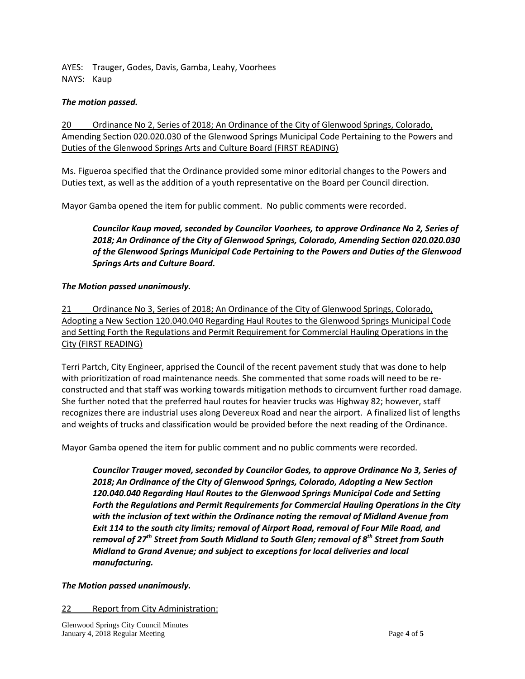AYES: Trauger, Godes, Davis, Gamba, Leahy, Voorhees NAYS: Kaup

## *The motion passed.*

20 Ordinance No 2, Series of 2018; An Ordinance of the City of Glenwood Springs, Colorado, Amending Section 020.020.030 of the Glenwood Springs Municipal Code Pertaining to the Powers and Duties of the Glenwood Springs Arts and Culture Board (FIRST READING)

Ms. Figueroa specified that the Ordinance provided some minor editorial changes to the Powers and Duties text, as well as the addition of a youth representative on the Board per Council direction.

Mayor Gamba opened the item for public comment. No public comments were recorded.

*Councilor Kaup moved, seconded by Councilor Voorhees, to approve Ordinance No 2, Series of 2018; An Ordinance of the City of Glenwood Springs, Colorado, Amending Section 020.020.030 of the Glenwood Springs Municipal Code Pertaining to the Powers and Duties of the Glenwood Springs Arts and Culture Board.* 

## *The Motion passed unanimously.*

21 Ordinance No 3, Series of 2018; An Ordinance of the City of Glenwood Springs, Colorado, Adopting a New Section 120.040.040 Regarding Haul Routes to the Glenwood Springs Municipal Code and Setting Forth the Regulations and Permit Requirement for Commercial Hauling Operations in the City (FIRST READING)

Terri Partch, City Engineer, apprised the Council of the recent pavement study that was done to help with prioritization of road maintenance needs. She commented that some roads will need to be reconstructed and that staff was working towards mitigation methods to circumvent further road damage. She further noted that the preferred haul routes for heavier trucks was Highway 82; however, staff recognizes there are industrial uses along Devereux Road and near the airport. A finalized list of lengths and weights of trucks and classification would be provided before the next reading of the Ordinance.

Mayor Gamba opened the item for public comment and no public comments were recorded.

*Councilor Trauger moved, seconded by Councilor Godes, to approve Ordinance No 3, Series of 2018; An Ordinance of the City of Glenwood Springs, Colorado, Adopting a New Section 120.040.040 Regarding Haul Routes to the Glenwood Springs Municipal Code and Setting Forth the Regulations and Permit Requirements for Commercial Hauling Operations in the City with the inclusion of text within the Ordinance noting the removal of Midland Avenue from Exit 114 to the south city limits; removal of Airport Road, removal of Four Mile Road, and removal of 27th Street from South Midland to South Glen; removal of 8th Street from South Midland to Grand Avenue; and subject to exceptions for local deliveries and local manufacturing.* 

## *The Motion passed unanimously.*

## 22 Report from City Administration: